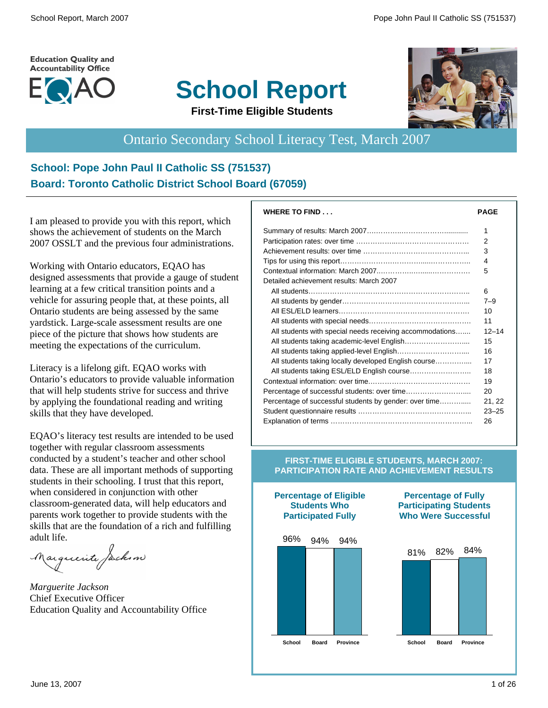#### **Education Quality and Accountability Office**



# **School Report First-Time Eligible Students**



Ontario Secondary School Literacy Test, March 2007

# **School: Pope John Paul II Catholic SS (751537) Board: Toronto Catholic District School Board (67059)**

I am pleased to provide you with this report, which shows the achievement of students on the March 2007 OSSLT and the previous four administrations.

Working with Ontario educators, EQAO has designed assessments that provide a gauge of student learning at a few critical transition points and a vehicle for assuring people that, at these points, all Ontario students are being assessed by the same yardstick. Large-scale assessment results are one piece of the picture that shows how students are meeting the expectations of the curriculum.

Literacy is a lifelong gift. EQAO works with Ontario's educators to provide valuable information that will help students strive for success and thrive by applying the foundational reading and writing skills that they have developed.

EQAO's literacy test results are intended to be used together with regular classroom assessments conducted by a student's teacher and other school data. These are all important methods of supporting students in their schooling. I trust that this report, when considered in conjunction with other classroom-generated data, will help educators and parents work together to provide students with the skills that are the foundation of a rich and fulfilling adult life.

Marguerite Jackson

*Marguerite Jackson* Chief Executive Officer Education Quality and Accountability Office

| <b>WHERE TO FIND</b>                                     | <b>PAGE</b> |
|----------------------------------------------------------|-------------|
|                                                          | 1           |
|                                                          | 2           |
|                                                          | 3           |
|                                                          | 4           |
|                                                          | 5           |
| Detailed achievement results: March 2007                 |             |
|                                                          | 6           |
|                                                          | $7 - 9$     |
|                                                          | 10          |
|                                                          | 11          |
| All students with special needs receiving accommodations | $12 - 14$   |
|                                                          | 15          |
|                                                          | 16          |
| All students taking locally developed English course     | 17          |
| All students taking ESL/ELD English course               | 18          |
|                                                          | 19          |
|                                                          | 20          |
| Percentage of successful students by gender: over time   | 21, 22      |
|                                                          | $23 - 25$   |
|                                                          | 26          |

#### **FIRST-TIME ELIGIBLE STUDENTS, MARCH 2007: PARTICIPATION RATE AND ACHIEVEMENT RESULTS**



**Percentage of Eligible**



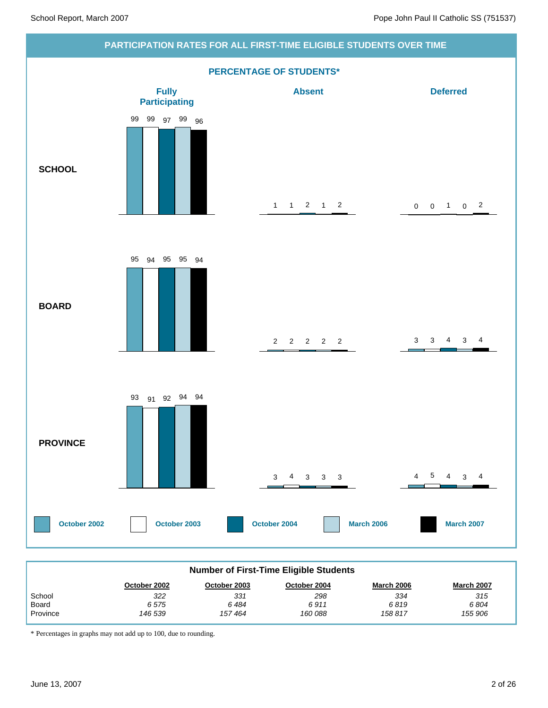

| <b>Number of First-Time Eligible Students</b>                                          |         |        |         |         |         |  |  |  |  |
|----------------------------------------------------------------------------------------|---------|--------|---------|---------|---------|--|--|--|--|
| <b>March 2006</b><br><b>March 2007</b><br>October 2004<br>October 2002<br>October 2003 |         |        |         |         |         |  |  |  |  |
| School                                                                                 | 322     | 331    | 298     | 334     | 315     |  |  |  |  |
| Board                                                                                  | 6575    | 6484   | 6911    | 6819    | 6804    |  |  |  |  |
| Province                                                                               | 146 539 | 157464 | 160 088 | 158 817 | 155 906 |  |  |  |  |

\* Percentages in graphs may not add up to 100, due to rounding.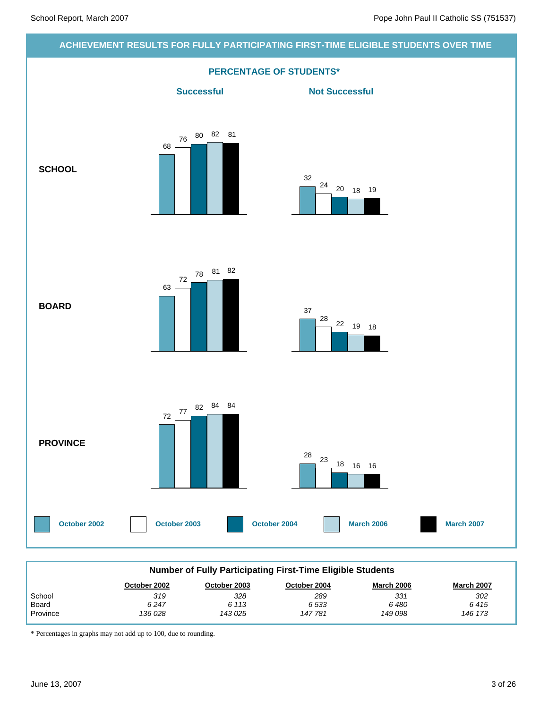#### **ACHIEVEMENT RESULTS FOR FULLY PARTICIPATING FIRST-TIME ELIGIBLE STUDENTS OVER TIME**



| <b>Number of Fully Participating First-Time Eligible Students</b>                      |         |         |        |         |         |  |  |  |  |
|----------------------------------------------------------------------------------------|---------|---------|--------|---------|---------|--|--|--|--|
| <b>March 2007</b><br><b>March 2006</b><br>October 2002<br>October 2004<br>October 2003 |         |         |        |         |         |  |  |  |  |
| School                                                                                 | 319     | 328     | 289    | 331     | 302     |  |  |  |  |
| Board                                                                                  | 6247    | 6 113   | 6533   | 6 480   | 6415    |  |  |  |  |
| Province                                                                               | 136 028 | 143 025 | 147781 | 149 098 | 146 173 |  |  |  |  |

\* Percentages in graphs may not add up to 100, due to rounding.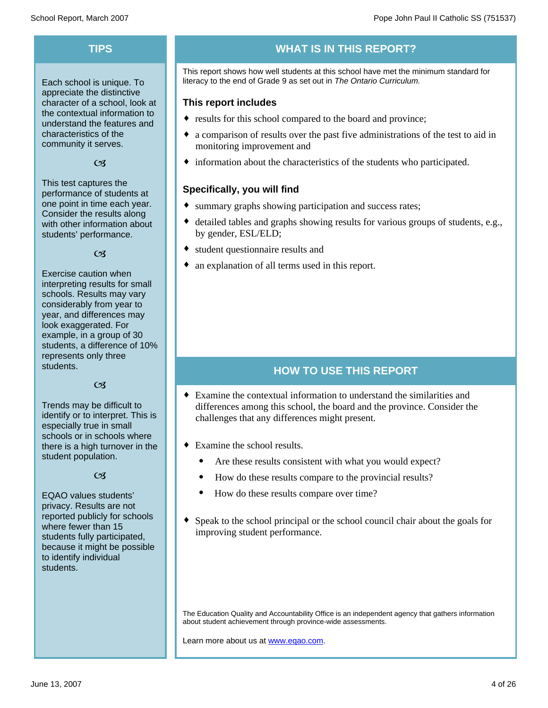Each school is unique. To appreciate the distinctive character of a school, look at the contextual information to understand the features and characteristics of the community it serves.

#### $C<sub>3</sub>$

This test captures the performance of students at one point in time each year. Consider the results along with other information about students' performance.

#### $\alpha$

Exercise caution when interpreting results for small schools. Results may vary considerably from year to year, and differences may look exaggerated. For example, in a group of 30 students, a difference of 10% represents only three students.

#### $C<sub>3</sub>$

Trends may be difficult to identify or to interpret. This is especially true in small schools or in schools where there is a high turnover in the student population.

#### $\alpha$

EQAO values students' privacy. Results are not reported publicly for schools where fewer than 15 students fully participated, because it might be possible to identify individual students.

# **TIPS WHAT IS IN THIS REPORT?**

This report shows how well students at this school have met the minimum standard for literacy to the end of Grade 9 as set out in *The Ontario Curriculum.*

#### **This report includes**

- results for this school compared to the board and province;
- a comparison of results over the past five administrations of the test to aid in monitoring improvement and
- $\bullet$  information about the characteristics of the students who participated.

#### **Specifically, you will find**

- summary graphs showing participation and success rates;
- $\bullet$  detailed tables and graphs showing results for various groups of students, e.g., by gender, ESL/ELD;
- student questionnaire results and
- an explanation of all terms used in this report.

# **HOW TO USE THIS REPORT**

- Examine the contextual information to understand the similarities and differences among this school, the board and the province. Consider the challenges that any differences might present.
- $\bullet$  Examine the school results.
	- Are these results consistent with what you would expect?
	- · How do these results compare to the provincial results?
	- How do these results compare over time?
- Speak to the school principal or the school council chair about the goals for improving student performance.

The Education Quality and Accountability Office is an independent agency that gathers information about student achievement through province-wide assessments.

Learn more about us at www.eqao.com.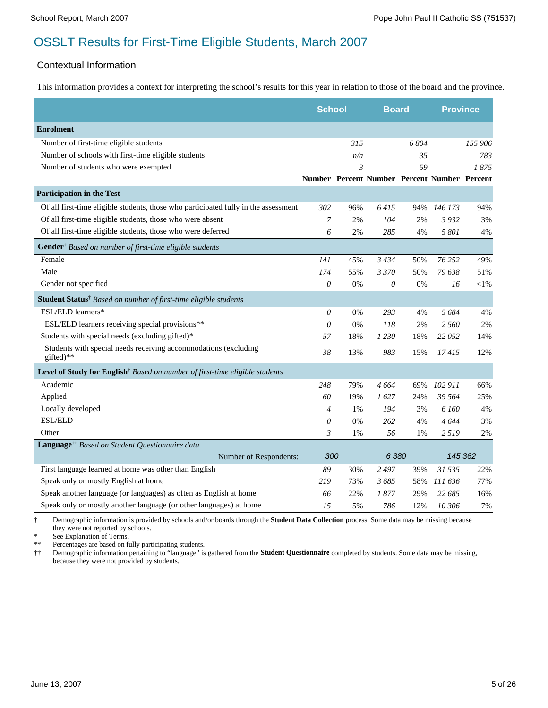#### Contextual Information

This information provides a context for interpreting the school's results for this year in relation to those of the board and the province.

|                                                                                         | <b>School</b>  |       | <b>Board</b>                                 |       | <b>Province</b> |         |
|-----------------------------------------------------------------------------------------|----------------|-------|----------------------------------------------|-------|-----------------|---------|
| <b>Enrolment</b>                                                                        |                |       |                                              |       |                 |         |
| Number of first-time eligible students                                                  |                | 315   |                                              | 6 804 |                 | 155 906 |
| Number of schools with first-time eligible students                                     |                | n/a   |                                              | 35    |                 | 783     |
| Number of students who were exempted                                                    |                | 3     |                                              | 59    |                 | 1875    |
|                                                                                         |                |       | Number Percent Number Percent Number Percent |       |                 |         |
| <b>Participation in the Test</b>                                                        |                |       |                                              |       |                 |         |
| Of all first-time eligible students, those who participated fully in the assessment     | 302            | 96%   | 6415                                         | 94%   | 146 173         | 94%     |
| Of all first-time eligible students, those who were absent                              | 7              | 2%    | 104                                          | 2%    | 3932            | 3%      |
| Of all first-time eligible students, those who were deferred                            | 6              | $2\%$ | 285                                          | 4%    | 5 801           | 4%      |
| Gender <sup>†</sup> Based on number of first-time eligible students                     |                |       |                                              |       |                 |         |
| Female                                                                                  | 141            | 45%   | 3434                                         | 50%   | 76 25 2         | 49%     |
| Male                                                                                    | 174            | 55%   | 3 3 7 0                                      | 50%   | 79 638          | 51%     |
| Gender not specified                                                                    | $\theta$       | 0%    | 0                                            | 0%    | 16              | $<$ 1%  |
| Student Status <sup>†</sup> Based on number of first-time eligible students             |                |       |                                              |       |                 |         |
| ESL/ELD learners*                                                                       | $\theta$       | 0%    | 293                                          | 4%    | 5 6 8 4         | 4%      |
| ESL/ELD learners receiving special provisions**                                         | $\theta$       | 0%    | 118                                          | 2%    | 2 560           | 2%      |
| Students with special needs (excluding gifted)*                                         | 57             | 18%   | 1 2 3 0                                      | 18%   | 22 052          | 14%     |
| Students with special needs receiving accommodations (excluding<br>gifted)**            | 38             | 13%   | 983                                          | 15%   | 17415           | 12%     |
| Level of Study for English <sup>†</sup> Based on number of first-time eligible students |                |       |                                              |       |                 |         |
| Academic                                                                                | 248            | 79%   | 4 664                                        | 69%   | 102 911         | 66%     |
| Applied                                                                                 | 60             | 19%   | 1627                                         | 24%   | 39 564          | 25%     |
| Locally developed                                                                       | $\overline{4}$ | 1%    | 194                                          | 3%    | 6 160           | 4%      |
| <b>ESL/ELD</b>                                                                          | $\theta$       | 0%    | 262                                          | 4%    | 4644            | 3%      |
| Other                                                                                   | $\mathfrak{Z}$ | 1%    | 56                                           | 1%    | 2519            | 2%      |
| Language <sup>††</sup> Based on Student Questionnaire data                              |                |       |                                              |       |                 |         |
| Number of Respondents:                                                                  | 300            |       | 6 3 8 0                                      |       | 145 362         |         |
| First language learned at home was other than English                                   | 89             | 30%   | 2497                                         | 39%   | 31 535          | 22%     |
| Speak only or mostly English at home                                                    | 219            | 73%   | 3685                                         | 58%   | 111 636         | 77%     |
| Speak another language (or languages) as often as English at home                       | 66             | 22%   | 1877                                         | 29%   | 22 685          | 16%     |
| Speak only or mostly another language (or other languages) at home                      | 1.5            | 5%    | 786                                          | 12%   | 10 306          | 7%      |

† Demographic information is provided by schools and/or boards through the **Student Data Collection** process. Some data may be missing because they were not reported by schools.

\* See Explanation of Terms.<br>\*\* Percentages are based on fi

Percentages are based on fully participating students.

†† Demographic information pertaining to "language" is gathered from the **Student Questionnaire** completed by students. Some data may be missing, because they were not provided by students.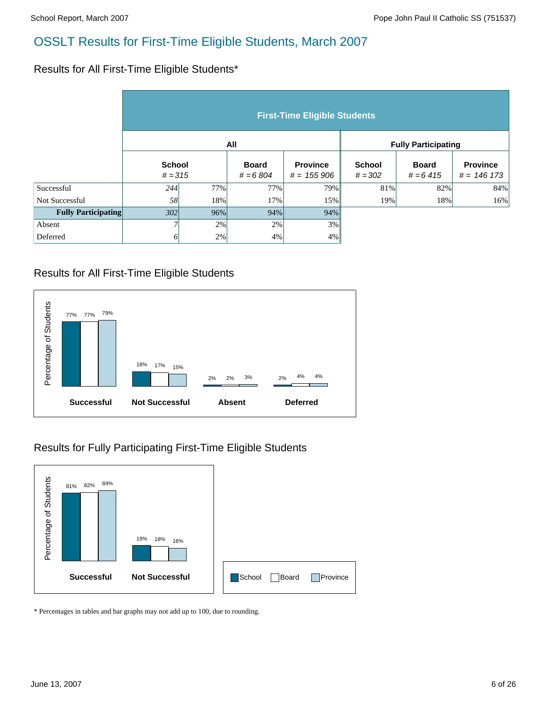#### Results for All First-Time Eligible Students\*

|                            | <b>First-Time Eligible Students</b> |        |                            |                                 |                            |                            |                                  |  |  |  |
|----------------------------|-------------------------------------|--------|----------------------------|---------------------------------|----------------------------|----------------------------|----------------------------------|--|--|--|
|                            |                                     |        | All                        |                                 | <b>Fully Participating</b> |                            |                                  |  |  |  |
|                            | <b>School</b><br>$# = 315$          |        | <b>Board</b><br>$# = 6804$ | <b>Province</b><br>$# = 155906$ | <b>School</b><br>$# = 302$ | <b>Board</b><br>$# = 6415$ | <b>Province</b><br>$# = 146 173$ |  |  |  |
| Successful                 | 244                                 | 77%    | 77%                        | 79%                             | 81%                        | 82%                        | 84%                              |  |  |  |
| Not Successful             | 58                                  | 18%    | 17%                        | 15%                             | 19%                        | 18%                        | 16%                              |  |  |  |
| <b>Fully Participating</b> | 302                                 | $96\%$ | 94%                        | 94%                             |                            |                            |                                  |  |  |  |
| Absent                     |                                     | 2%     | 2%                         | 3%                              |                            |                            |                                  |  |  |  |
| Deferred                   | 6                                   | 2%     | 4%                         | $4\%$                           |                            |                            |                                  |  |  |  |

# Results for All First-Time Eligible Students



## Results for Fully Participating First-Time Eligible Students



\* Percentages in tables and bar graphs may not add up to 100, due to rounding.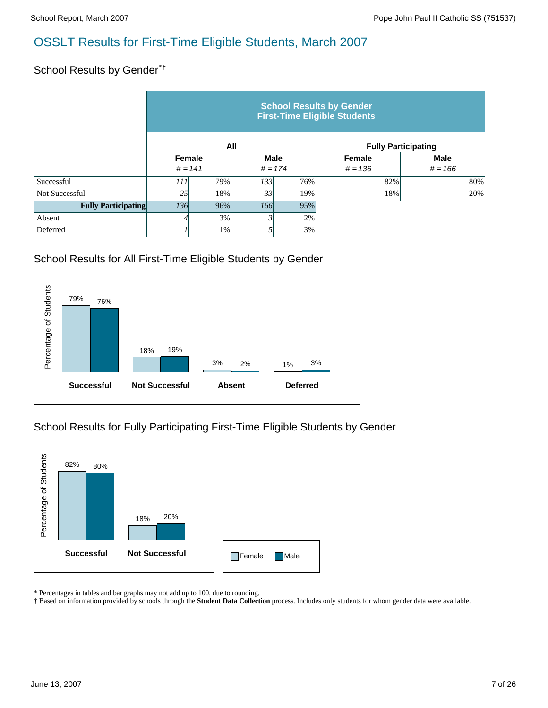# School Results by Gender\*<sup>†</sup>

|                            | <b>School Results by Gender</b><br><b>First-Time Eligible Students</b> |     |                          |     |                     |                            |  |  |  |  |
|----------------------------|------------------------------------------------------------------------|-----|--------------------------|-----|---------------------|----------------------------|--|--|--|--|
|                            |                                                                        |     | All                      |     |                     | <b>Fully Participating</b> |  |  |  |  |
|                            | Female<br>$# = 141$                                                    |     | <b>Male</b><br>$# = 174$ |     | Female<br>$# = 136$ | <b>Male</b><br>$# = 166$   |  |  |  |  |
| Successful                 | 111                                                                    | 79% | 133                      | 76% | 82%                 | 80%                        |  |  |  |  |
| Not Successful             | 25                                                                     | 18% | 33                       | 19% | 18%                 | 20%                        |  |  |  |  |
| <b>Fully Participating</b> | 136                                                                    | 96% | 166                      | 95% |                     |                            |  |  |  |  |
| Absent                     |                                                                        | 3%  |                          | 2%  |                     |                            |  |  |  |  |
| Deferred                   |                                                                        | 1%  |                          | 3%  |                     |                            |  |  |  |  |

#### School Results for All First-Time Eligible Students by Gender



## School Results for Fully Participating First-Time Eligible Students by Gender



\* Percentages in tables and bar graphs may not add up to 100, due to rounding.

† Based on information provided by schools through the **Student Data Collection** process. Includes only students for whom gender data were available.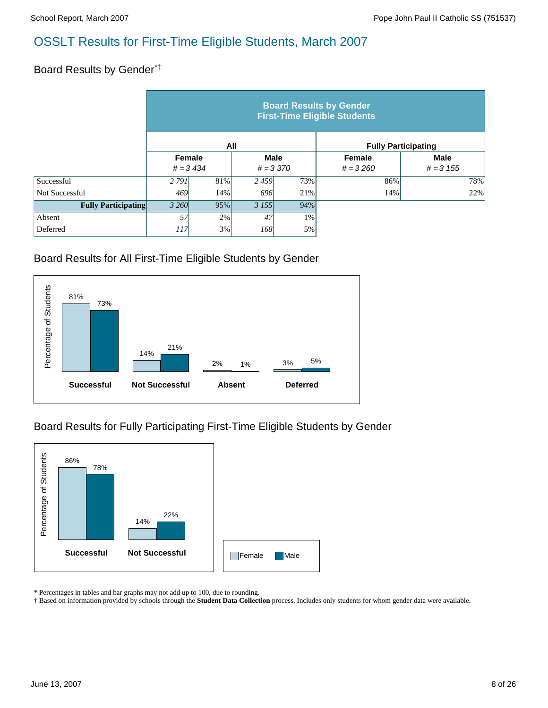### Board Results by Gender\*†

|                            | <b>Board Results by Gender</b><br><b>First-Time Eligible Students</b> |                                                    |           |       |                      |                            |  |  |  |  |
|----------------------------|-----------------------------------------------------------------------|----------------------------------------------------|-----------|-------|----------------------|----------------------------|--|--|--|--|
|                            |                                                                       | <b>Fully Participating</b>                         |           |       |                      |                            |  |  |  |  |
|                            |                                                                       | Female<br><b>Male</b><br>$# = 3434$<br>$# = 3,370$ |           |       | Female<br>$# = 3260$ | <b>Male</b><br>$# = 3 155$ |  |  |  |  |
| Successful                 | 2 7 9 1                                                               | 81%                                                | 2459      | 73%   | 86%                  | 78%                        |  |  |  |  |
| Not Successful             | 469                                                                   | 14%                                                | 696       | 21%   | 14%                  | 22%                        |  |  |  |  |
| <b>Fully Participating</b> | 3 260                                                                 | 95%                                                | 3 1 5 5 1 | 94%   |                      |                            |  |  |  |  |
| Absent                     | 57                                                                    | 2%                                                 | 47        | $1\%$ |                      |                            |  |  |  |  |
| Deferred                   | 117                                                                   | 3%                                                 | 168       | 5%    |                      |                            |  |  |  |  |

#### Board Results for All First-Time Eligible Students by Gender



## Board Results for Fully Participating First-Time Eligible Students by Gender



\* Percentages in tables and bar graphs may not add up to 100, due to rounding.

† Based on information provided by schools through the **Student Data Collection** process. Includes only students for whom gender data were available.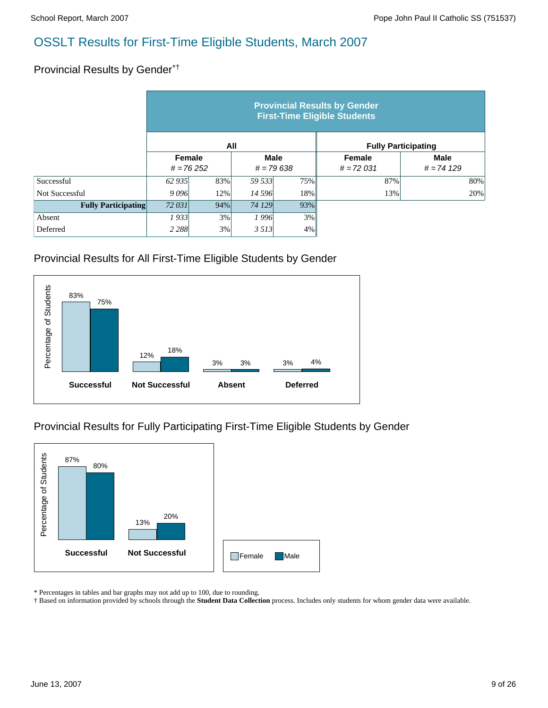#### Provincial Results by Gender\*†

|                            | <b>Provincial Results by Gender</b><br><b>First-Time Eligible Students</b> |     |                            |     |                              |                             |  |  |  |  |
|----------------------------|----------------------------------------------------------------------------|-----|----------------------------|-----|------------------------------|-----------------------------|--|--|--|--|
|                            |                                                                            | All |                            |     | <b>Fully Participating</b>   |                             |  |  |  |  |
|                            | Female<br>$# = 76252$                                                      |     | <b>Male</b><br>$# = 79638$ |     | <b>Female</b><br>$# = 72031$ | <b>Male</b><br>$# = 74 129$ |  |  |  |  |
| Successful                 | 62 935                                                                     | 83% | 59 533                     | 75% | 87%                          | 80%                         |  |  |  |  |
| Not Successful             | 9096                                                                       | 12% | 14 596                     | 18% | 13%                          | 20%                         |  |  |  |  |
| <b>Fully Participating</b> | 72 031<br>94%                                                              |     | 74 129                     | 93% |                              |                             |  |  |  |  |
| Absent                     | 1933                                                                       | 3%  | 1996                       | 3%  |                              |                             |  |  |  |  |
| Deferred                   | 2 2 8 8                                                                    | 3%  | 3513                       | 4%  |                              |                             |  |  |  |  |

#### Provincial Results for All First-Time Eligible Students by Gender



## Provincial Results for Fully Participating First-Time Eligible Students by Gender



\* Percentages in tables and bar graphs may not add up to 100, due to rounding.

† Based on information provided by schools through the **Student Data Collection** process. Includes only students for whom gender data were available.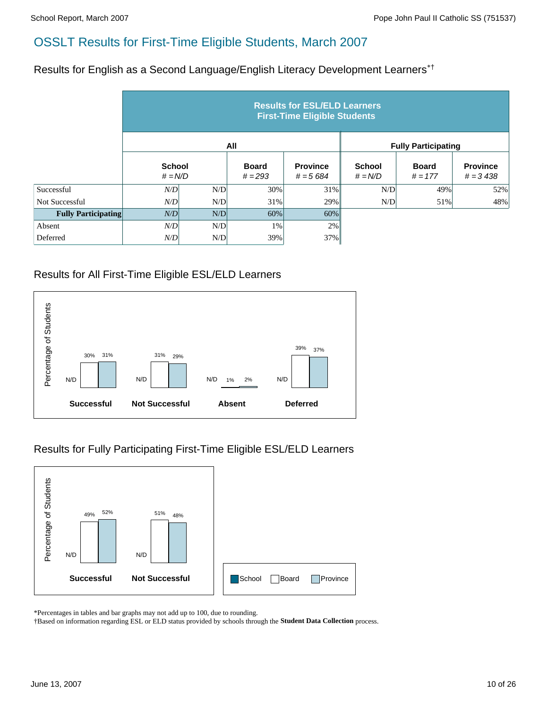Results for English as a Second Language/English Literacy Development Learners\*†

|                            | <b>Results for ESL/ELD Learners</b><br><b>First-Time Eligible Students</b> |     |                           |                               |                            |                            |                               |  |  |  |
|----------------------------|----------------------------------------------------------------------------|-----|---------------------------|-------------------------------|----------------------------|----------------------------|-------------------------------|--|--|--|
|                            |                                                                            |     | All                       |                               |                            | <b>Fully Participating</b> |                               |  |  |  |
|                            | <b>School</b><br>$# = N/D$                                                 |     | <b>Board</b><br>$# = 293$ | <b>Province</b><br>$# = 5684$ | <b>School</b><br>$# = N/D$ | <b>Board</b><br>$# = 177$  | <b>Province</b><br>$# = 3438$ |  |  |  |
| Successful                 | N/D                                                                        | N/D | 30%                       | 31%                           | N/D                        | 49%                        | 52%                           |  |  |  |
| Not Successful             | N/D                                                                        | N/D | 31%                       | 29%                           | N/D                        | 51%                        | 48%                           |  |  |  |
| <b>Fully Participating</b> | N/D                                                                        | N/D | 60%                       | 60%                           |                            |                            |                               |  |  |  |
| Absent                     | N/D                                                                        | N/D | 1%                        | 2%                            |                            |                            |                               |  |  |  |
| Deferred                   | N/D                                                                        | N/D | 39%                       | 37%                           |                            |                            |                               |  |  |  |

## Results for All First-Time Eligible ESL/ELD Learners



## Results for Fully Participating First-Time Eligible ESL/ELD Learners



\*Percentages in tables and bar graphs may not add up to 100, due to rounding.

†Based on information regarding ESL or ELD status provided by schools through the **Student Data Collection** process.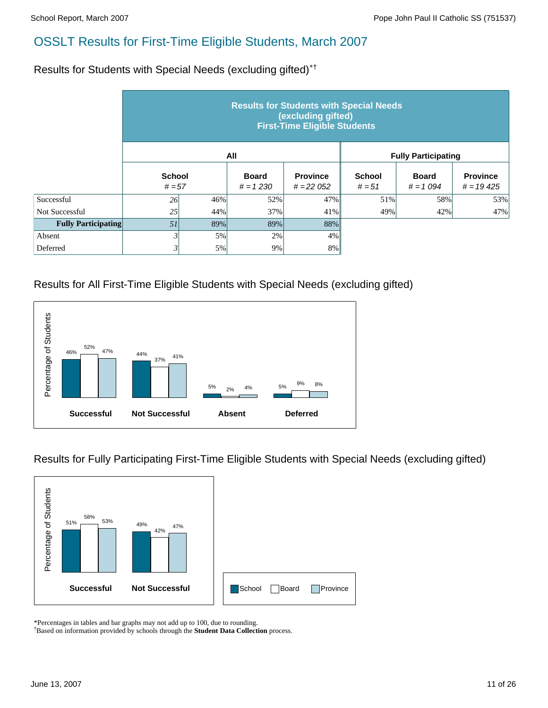Results for Students with Special Needs (excluding gifted)\*†

|                            | <b>Results for Students with Special Needs</b><br>(excluding gifted)<br><b>First-Time Eligible Students</b> |     |                            |                                |                           |                            |                                |  |  |  |
|----------------------------|-------------------------------------------------------------------------------------------------------------|-----|----------------------------|--------------------------------|---------------------------|----------------------------|--------------------------------|--|--|--|
|                            |                                                                                                             |     | All                        |                                |                           | <b>Fully Participating</b> |                                |  |  |  |
|                            | <b>School</b><br>$# = 57$                                                                                   |     | <b>Board</b><br>$# = 1230$ | <b>Province</b><br>$# = 22052$ | <b>School</b><br>$# = 51$ | <b>Board</b><br>$# = 1094$ | <b>Province</b><br>$# = 19425$ |  |  |  |
| Successful                 | 26                                                                                                          | 46% | 52%                        | 47%                            | 51%                       | 58%                        | 53%                            |  |  |  |
| Not Successful             | 25                                                                                                          | 44% | 37%                        | 41%                            | 49%                       | 42%                        | 47%                            |  |  |  |
| <b>Fully Participating</b> | 51                                                                                                          | 89% | 89%                        | 88%                            |                           |                            |                                |  |  |  |
| Absent                     |                                                                                                             | 5%  | 2%                         | 4%                             |                           |                            |                                |  |  |  |
| Deferred                   | 3                                                                                                           | 5%  | 9%                         | 8%                             |                           |                            |                                |  |  |  |

## Results for All First-Time Eligible Students with Special Needs (excluding gifted)



Results for Fully Participating First-Time Eligible Students with Special Needs (excluding gifted)



\*Percentages in tables and bar graphs may not add up to 100, due to rounding.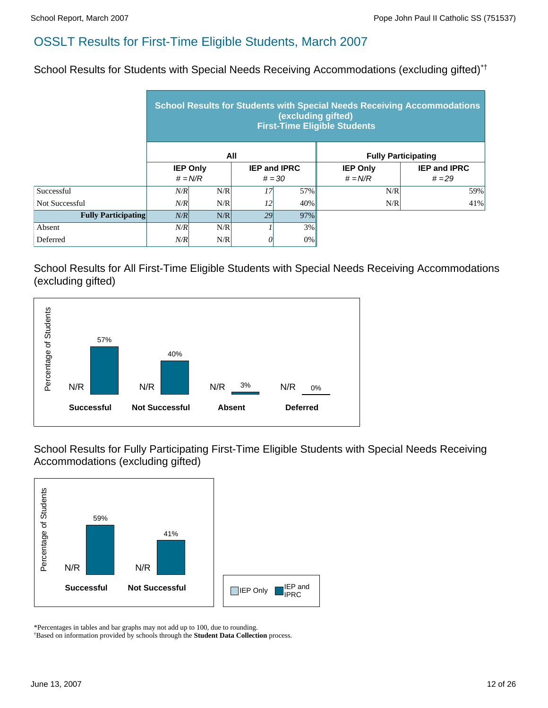School Results for Students with Special Needs Receiving Accommodations (excluding gifted)\*†

|                            | <b>School Results for Students with Special Needs Receiving Accommodations</b><br>(excluding gifted)<br><b>First-Time Eligible Students</b> |                 |     |                     |                 |                            |  |  |  |  |
|----------------------------|---------------------------------------------------------------------------------------------------------------------------------------------|-----------------|-----|---------------------|-----------------|----------------------------|--|--|--|--|
|                            |                                                                                                                                             |                 | All |                     |                 | <b>Fully Participating</b> |  |  |  |  |
|                            |                                                                                                                                             | <b>IEP Only</b> |     | <b>IEP and IPRC</b> | <b>IEP Only</b> | <b>IEP and IPRC</b>        |  |  |  |  |
|                            |                                                                                                                                             | $# = N/R$       |     | $# = 30$            | $# = N/R$       | $# = 29$                   |  |  |  |  |
| Successful                 | N/R                                                                                                                                         | N/R             | 17  | 57%                 | N/R             | 59%                        |  |  |  |  |
| Not Successful             | N/R                                                                                                                                         | N/R             | 12  | 40%                 | N/R             | 41%                        |  |  |  |  |
| <b>Fully Participating</b> | N/R                                                                                                                                         | N/R             | 29  | 97%                 |                 |                            |  |  |  |  |
| Absent                     | N/R                                                                                                                                         | N/R             |     | 3%                  |                 |                            |  |  |  |  |
| Deferred                   | N/R                                                                                                                                         | N/R             | O   | 0%                  |                 |                            |  |  |  |  |

School Results for All First-Time Eligible Students with Special Needs Receiving Accommodations (excluding gifted)



School Results for Fully Participating First-Time Eligible Students with Special Needs Receiving Accommodations (excluding gifted)



\*Percentages in tables and bar graphs may not add up to 100, due to rounding.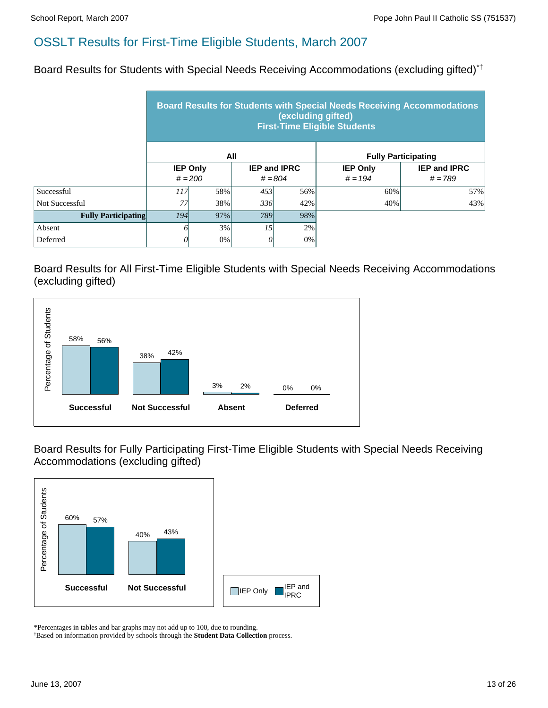Board Results for Students with Special Needs Receiving Accommodations (excluding gifted)\*†

|                            | <b>Board Results for Students with Special Needs Receiving Accommodations</b><br>(excluding gifted)<br><b>First-Time Eligible Students</b> |                              |                 |                                  |                              |                                  |  |  |  |
|----------------------------|--------------------------------------------------------------------------------------------------------------------------------------------|------------------------------|-----------------|----------------------------------|------------------------------|----------------------------------|--|--|--|
|                            |                                                                                                                                            | All                          |                 |                                  | <b>Fully Participating</b>   |                                  |  |  |  |
|                            |                                                                                                                                            | <b>IEP Only</b><br>$# = 200$ |                 | <b>IEP and IPRC</b><br>$# = 804$ | <b>IEP Only</b><br>$# = 194$ | <b>IEP and IPRC</b><br>$# = 789$ |  |  |  |
| Successful                 | 117 <sup> </sup>                                                                                                                           | 58%                          | 453             | 56%                              | 60%                          | 57%                              |  |  |  |
| Not Successful             | 77                                                                                                                                         | 38%                          | 336             | 42%                              | 40%                          | 43%                              |  |  |  |
| <b>Fully Participating</b> | <i>194</i><br>97%                                                                                                                          |                              | 789             | 98%                              |                              |                                  |  |  |  |
| Absent                     | 0                                                                                                                                          | 3%                           | 15 <sup>1</sup> | 2%                               |                              |                                  |  |  |  |
| Deferred                   | 0                                                                                                                                          | 0%<br>0%                     |                 |                                  |                              |                                  |  |  |  |

Board Results for All First-Time Eligible Students with Special Needs Receiving Accommodations (excluding gifted)



Board Results for Fully Participating First-Time Eligible Students with Special Needs Receiving Accommodations (excluding gifted)



\*Percentages in tables and bar graphs may not add up to 100, due to rounding.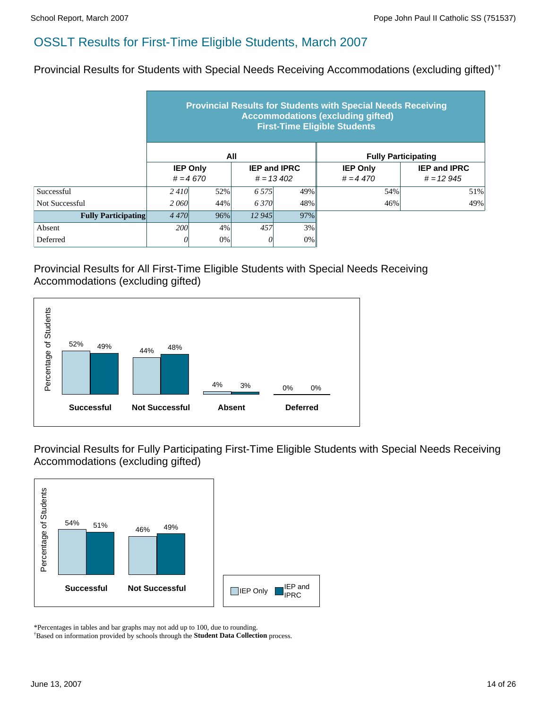Provincial Results for Students with Special Needs Receiving Accommodations (excluding gifted)\*†

|                            | <b>Provincial Results for Students with Special Needs Receiving</b><br><b>Accommodations (excluding gifted)</b><br><b>First-Time Eligible Students</b> |                               |         |                                     |                               |                                    |  |  |  |  |  |
|----------------------------|--------------------------------------------------------------------------------------------------------------------------------------------------------|-------------------------------|---------|-------------------------------------|-------------------------------|------------------------------------|--|--|--|--|--|
|                            |                                                                                                                                                        |                               | All     |                                     | <b>Fully Participating</b>    |                                    |  |  |  |  |  |
|                            |                                                                                                                                                        | <b>IEP Only</b><br>$# = 4670$ |         | <b>IEP and IPRC</b><br>$# = 13,402$ | <b>IEP Only</b><br>$# = 4470$ | <b>IEP and IPRC</b><br>$# = 12945$ |  |  |  |  |  |
| Successful                 | 2410                                                                                                                                                   | 52%                           | 6 5 7 5 | 49%                                 | 54%                           | 51%                                |  |  |  |  |  |
| Not Successful             | 2060                                                                                                                                                   | 44%                           | 6370    | 48%                                 | 46%                           | 49%                                |  |  |  |  |  |
| <b>Fully Participating</b> | 4 4 7 0                                                                                                                                                | $96\%$                        | 12 945  | 97%                                 |                               |                                    |  |  |  |  |  |
| Absent                     | <b>200</b>                                                                                                                                             | 4%                            | 457     | 3%                                  |                               |                                    |  |  |  |  |  |
| Deferred                   | 0                                                                                                                                                      | 0%                            | 0       | $0\%$                               |                               |                                    |  |  |  |  |  |

## Provincial Results for All First-Time Eligible Students with Special Needs Receiving Accommodations (excluding gifted)



Provincial Results for Fully Participating First-Time Eligible Students with Special Needs Receiving Accommodations (excluding gifted)



\*Percentages in tables and bar graphs may not add up to 100, due to rounding.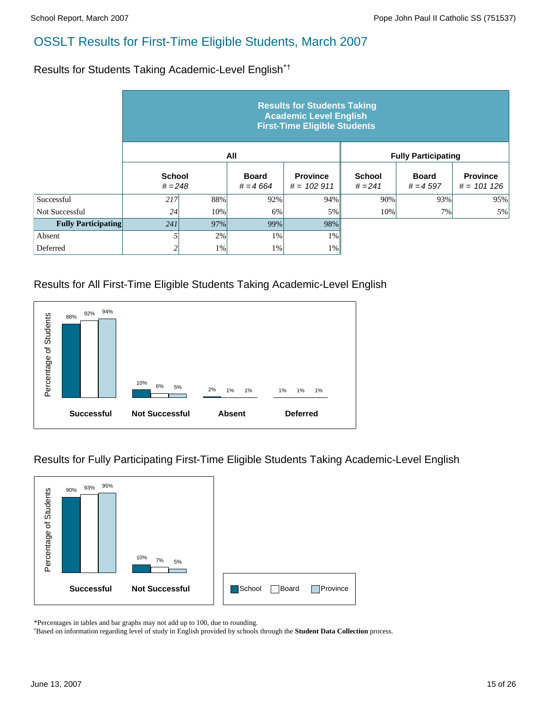Results for Students Taking Academic-Level English\*†

|                            | <b>Results for Students Taking</b><br><b>Academic Level English</b><br><b>First-Time Eligible Students</b> |       |                            |                                 |                            |                             |                                 |  |  |  |  |
|----------------------------|------------------------------------------------------------------------------------------------------------|-------|----------------------------|---------------------------------|----------------------------|-----------------------------|---------------------------------|--|--|--|--|
|                            |                                                                                                            |       | All                        |                                 |                            | <b>Fully Participating</b>  |                                 |  |  |  |  |
|                            | <b>School</b><br>$# = 248$                                                                                 |       | <b>Board</b><br>$# = 4664$ | <b>Province</b><br>$# = 102911$ | <b>School</b><br>$# = 241$ | <b>Board</b><br>$# = 4.597$ | <b>Province</b><br>$# = 101126$ |  |  |  |  |
| Successful                 | 217                                                                                                        | 88%   | 92%                        | 94%                             | 90%                        | 93%                         | 95%                             |  |  |  |  |
| Not Successful             | 24                                                                                                         | 10%   | 6%                         | 5%                              | 10%                        | 7%                          | 5%                              |  |  |  |  |
| <b>Fully Participating</b> | 241                                                                                                        | 97%   | 99%                        | 98%                             |                            |                             |                                 |  |  |  |  |
| Absent                     |                                                                                                            | 2%    | 1%                         | $1\%$                           |                            |                             |                                 |  |  |  |  |
| Deferred                   | 2                                                                                                          | $1\%$ | 1%                         | $1\%$                           |                            |                             |                                 |  |  |  |  |

## Results for All First-Time Eligible Students Taking Academic-Level English



Results for Fully Participating First-Time Eligible Students Taking Academic-Level English



\*Percentages in tables and bar graphs may not add up to 100, due to rounding.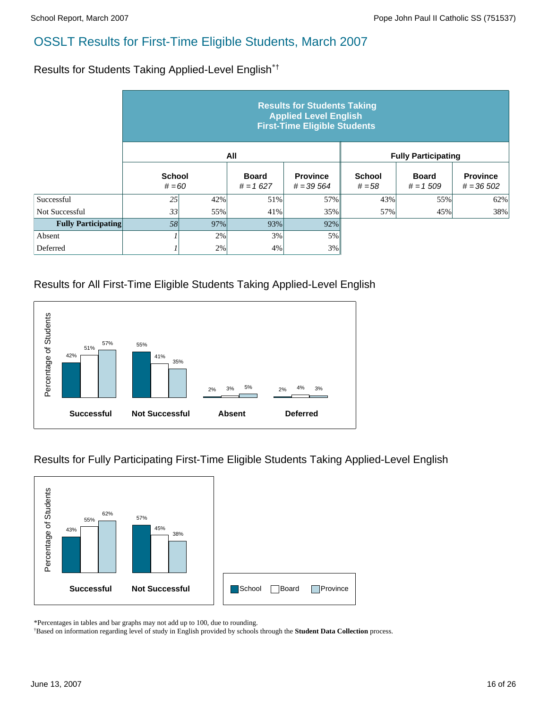Results for Students Taking Applied-Level English\*†

|                            | <b>Results for Students Taking</b><br><b>Applied Level English</b><br><b>First-Time Eligible Students</b> |                           |     |                                |                           |                            |                                |  |  |  |  |
|----------------------------|-----------------------------------------------------------------------------------------------------------|---------------------------|-----|--------------------------------|---------------------------|----------------------------|--------------------------------|--|--|--|--|
|                            |                                                                                                           |                           | All |                                |                           | <b>Fully Participating</b> |                                |  |  |  |  |
|                            |                                                                                                           | <b>School</b><br>$# = 60$ |     | <b>Province</b><br>$# = 39564$ | <b>School</b><br>$# = 58$ | <b>Board</b><br>$# = 1509$ | <b>Province</b><br>$# = 36502$ |  |  |  |  |
| Successful                 | 25                                                                                                        | 42%                       | 51% | 57%                            | 43%                       | 55%                        | 62%                            |  |  |  |  |
| Not Successful             | 33                                                                                                        | 55%                       | 41% | 35%                            | 57%                       | 45%                        | 38%                            |  |  |  |  |
| <b>Fully Participating</b> | 58                                                                                                        | 97%                       | 93% | 92%                            |                           |                            |                                |  |  |  |  |
| Absent                     |                                                                                                           | 2%                        | 3%  | 5%                             |                           |                            |                                |  |  |  |  |
| Deferred                   |                                                                                                           | 2%                        | 4%  | 3%                             |                           |                            |                                |  |  |  |  |

## Results for All First-Time Eligible Students Taking Applied-Level English



Results for Fully Participating First-Time Eligible Students Taking Applied-Level English



\*Percentages in tables and bar graphs may not add up to 100, due to rounding.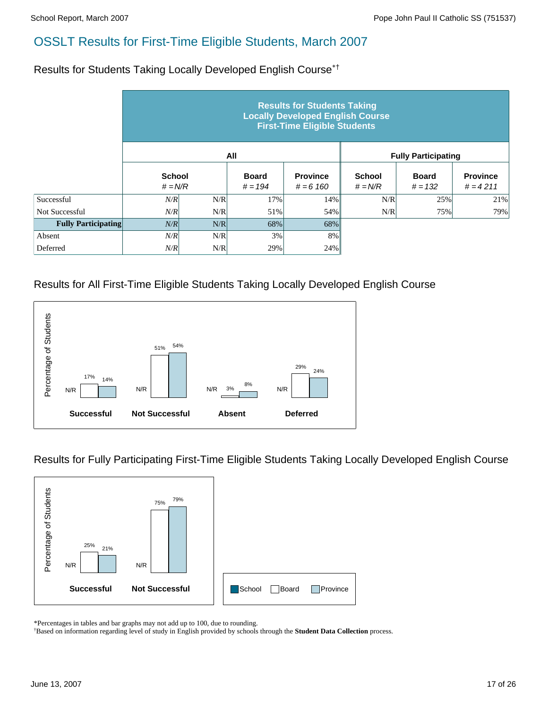Results for Students Taking Locally Developed English Course\*†

|                            | <b>Results for Students Taking</b><br><b>Locally Developed English Course</b><br><b>First-Time Eligible Students</b> |     |                           |                                |                            |                            |                               |  |  |  |  |
|----------------------------|----------------------------------------------------------------------------------------------------------------------|-----|---------------------------|--------------------------------|----------------------------|----------------------------|-------------------------------|--|--|--|--|
|                            |                                                                                                                      |     | All                       |                                |                            | <b>Fully Participating</b> |                               |  |  |  |  |
|                            | <b>School</b><br>$# = N/R$                                                                                           |     | <b>Board</b><br>$# = 194$ | <b>Province</b><br>$# = 6 160$ | <b>School</b><br>$# = N/R$ | <b>Board</b><br>$# = 132$  | <b>Province</b><br>$# = 4211$ |  |  |  |  |
| Successful                 | N/R                                                                                                                  | N/R | 17%                       | 14%                            | N/R                        | 25%                        | 21%                           |  |  |  |  |
| Not Successful             | N/R                                                                                                                  | N/R | 51%                       | 54%                            | N/R                        | 75%                        | 79%                           |  |  |  |  |
| <b>Fully Participating</b> | N/R                                                                                                                  | N/R | 68%                       | 68%                            |                            |                            |                               |  |  |  |  |
| Absent                     | N/R                                                                                                                  | N/R | 3%                        | 8%                             |                            |                            |                               |  |  |  |  |
| Deferred                   | N/R                                                                                                                  | N/R | 29%                       | 24%                            |                            |                            |                               |  |  |  |  |

## Results for All First-Time Eligible Students Taking Locally Developed English Course



Results for Fully Participating First-Time Eligible Students Taking Locally Developed English Course



\*Percentages in tables and bar graphs may not add up to 100, due to rounding.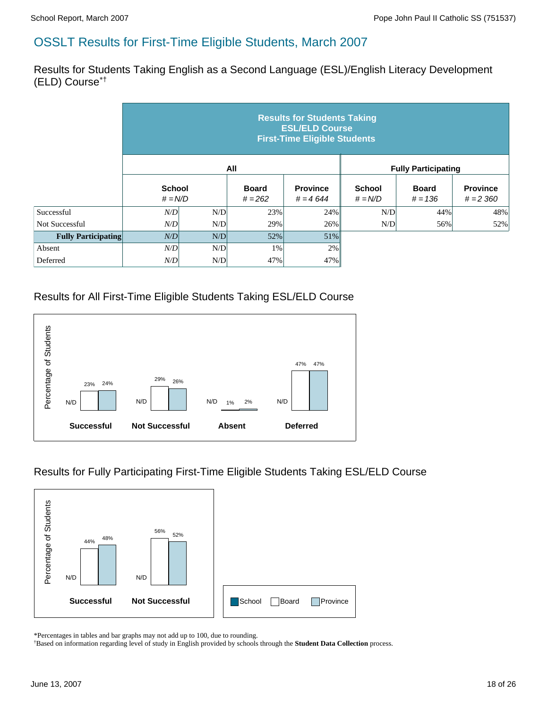Results for Students Taking English as a Second Language (ESL)/English Literacy Development (ELD) Course\*†

|                            | <b>Results for Students Taking</b><br><b>ESL/ELD Course</b><br><b>First-Time Eligible Students</b> |     |                           |                               |                            |                            |                                |  |  |  |  |
|----------------------------|----------------------------------------------------------------------------------------------------|-----|---------------------------|-------------------------------|----------------------------|----------------------------|--------------------------------|--|--|--|--|
|                            |                                                                                                    |     | All                       |                               |                            | <b>Fully Participating</b> |                                |  |  |  |  |
|                            | <b>School</b><br>$# = N/D$                                                                         |     | <b>Board</b><br>$# = 262$ | <b>Province</b><br>$# = 4644$ | <b>School</b><br>$# = N/D$ | <b>Board</b><br>$# = 136$  | <b>Province</b><br>$# = 2,360$ |  |  |  |  |
| Successful                 | N/D                                                                                                | N/D | 23%                       | 24%                           | N/D                        | 44%                        | 48%                            |  |  |  |  |
| Not Successful             | N/D                                                                                                | N/D | 29%                       | 26%                           | N/D                        | 56%                        | 52%                            |  |  |  |  |
| <b>Fully Participating</b> | N/D                                                                                                | N/D | 52%                       | 51%                           |                            |                            |                                |  |  |  |  |
| Absent                     | N/D                                                                                                | N/D | 1%                        | 2%                            |                            |                            |                                |  |  |  |  |
| Deferred                   | N/D                                                                                                | N/D | 47%                       | 47%                           |                            |                            |                                |  |  |  |  |

## Results for All First-Time Eligible Students Taking ESL/ELD Course



## Results for Fully Participating First-Time Eligible Students Taking ESL/ELD Course



\*Percentages in tables and bar graphs may not add up to 100, due to rounding.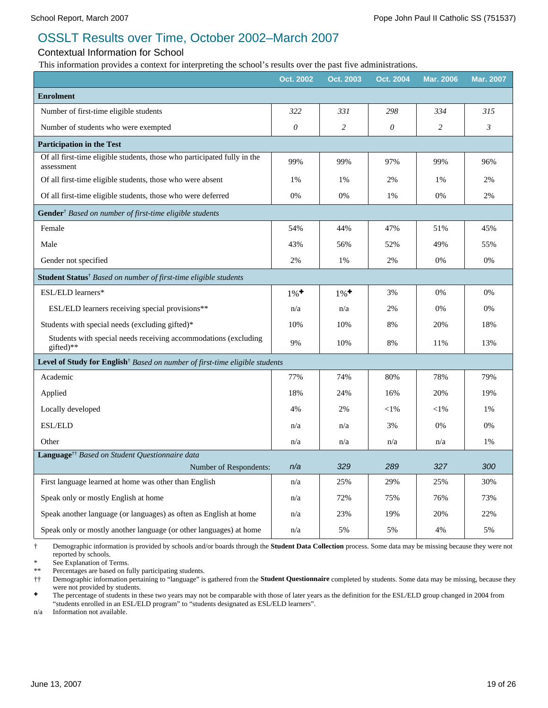# OSSLT Results over Time, October 2002–March 2007

#### Contextual Information for School

This information provides a context for interpreting the school's results over the past five administrations.

|                                                                                                | Oct. 2002                 | Oct. 2003          | Oct. 2004 | <b>Mar. 2006</b> | <b>Mar. 2007</b> |
|------------------------------------------------------------------------------------------------|---------------------------|--------------------|-----------|------------------|------------------|
| <b>Enrolment</b>                                                                               |                           |                    |           |                  |                  |
| Number of first-time eligible students                                                         | 322                       | 331                | 298       | 334              | 315              |
| Number of students who were exempted                                                           | $\boldsymbol{\mathit{0}}$ | $\overline{c}$     | 0         | $\overline{c}$   | $\mathfrak{Z}$   |
| <b>Participation in the Test</b>                                                               |                           |                    |           |                  |                  |
| Of all first-time eligible students, those who participated fully in the<br>assessment         | 99%                       | 99%                | 97%       | 99%              | 96%              |
| Of all first-time eligible students, those who were absent                                     | 1%                        | 1%                 | 2%        | 1%               | 2%               |
| Of all first-time eligible students, those who were deferred                                   | 0%                        | 0%                 | 1%        | 0%               | 2%               |
| Gender <sup>†</sup> Based on number of first-time eligible students                            |                           |                    |           |                  |                  |
| Female                                                                                         | 54%                       | 44%                | 47%       | 51%              | 45%              |
| Male                                                                                           | 43%                       | 56%                | 52%       | 49%              | 55%              |
| Gender not specified                                                                           | 2%                        | 1%                 | 2%        | 0%               | 0%               |
| Student Status <sup>†</sup> Based on number of first-time eligible students                    |                           |                    |           |                  |                  |
| ESL/ELD learners*                                                                              | $1\%$ <sup>+</sup>        | $1\%$ <sup>+</sup> | 3%        | 0%               | 0%               |
| ESL/ELD learners receiving special provisions**                                                | n/a                       | n/a                | 2%        | 0%               | 0%               |
| Students with special needs (excluding gifted)*                                                | 10%                       | 10%                | 8%        | 20%              | 18%              |
| Students with special needs receiving accommodations (excluding<br>gifted)**                   | 9%                        | 10%                | 8%        | 11%              | 13%              |
| <b>Level of Study for English</b> <sup>†</sup> Based on number of first-time eligible students |                           |                    |           |                  |                  |
| Academic                                                                                       | 77%                       | 74%                | 80%       | 78%              | 79%              |
| Applied                                                                                        | 18%                       | 24%                | 16%       | 20%              | 19%              |
| Locally developed                                                                              | 4%                        | 2%                 | $<$ l%    | $<$ 1%           | 1%               |
| <b>ESL/ELD</b>                                                                                 | n/a                       | n/a                | 3%        | 0%               | 0%               |
| Other                                                                                          | n/a                       | n/a                | n/a       | n/a              | 1%               |
| Language <sup>††</sup> Based on Student Questionnaire data                                     |                           |                    |           |                  |                  |
| Number of Respondents:                                                                         | n/a                       | 329                | 289       | 327              | 300              |
| First language learned at home was other than English                                          | n/a                       | 25%                | 29%       | 25%              | 30%              |
| Speak only or mostly English at home                                                           | n/a                       | 72%                | 75%       | 76%              | 73%              |
| Speak another language (or languages) as often as English at home                              | n/a                       | 23%                | 19%       | 20%              | 22%              |
| Speak only or mostly another language (or other languages) at home                             | n/a                       | 5%                 | 5%        | 4%               | 5%               |

† Demographic information is provided by schools and/or boards through the **Student Data Collection** process. Some data may be missing because they were not reported by schools.

\* See Explanation of Terms.

Percentages are based on fully participating students.

†† Demographic information pertaining to "language" is gathered from the **Student Questionnaire** completed by students. Some data may be missing, because they were not provided by students.

The percentage of students in these two years may not be comparable with those of later years as the definition for the ESL/ELD group changed in 2004 from "students enrolled in an ESL/ELD program" to "students designated as ESL/ELD learners".

n/a Information not available.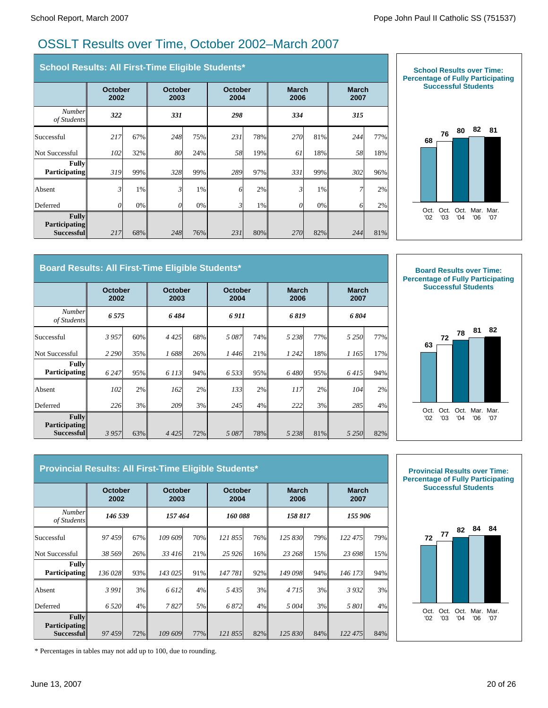# OSSLT Results over Time, October 2002–March 2007

| School Results: All First-Time Eligible Students*  |     |                        |     |                        |                 |       |                      |       |                      |     |
|----------------------------------------------------|-----|------------------------|-----|------------------------|-----------------|-------|----------------------|-------|----------------------|-----|
|                                                    |     | <b>October</b><br>2002 |     | <b>October</b><br>2003 | October<br>2004 |       | <b>March</b><br>2006 |       | <b>March</b><br>2007 |     |
| <b>Number</b><br>of Students                       | 322 |                        | 331 |                        | 298             |       | 334                  |       | 315                  |     |
| Successful                                         | 217 | 67%                    | 248 | 75%                    | 231             | 78%   | <b>270</b>           | 81%   | 244                  | 77% |
| Not Successful                                     | 102 | 32%                    | 80  | 24%                    | 58              | 19%   | 61                   | 18%   | 58                   | 18% |
| <b>Fully</b><br><b>Participating</b>               | 319 | 99%                    | 328 | 99%                    | 289             | 97%   | 331                  | 99%   | 302                  | 96% |
| Absent                                             | 3   | 1%                     | 3   | 1%                     | 6               | 2%    | 3                    | 1%    |                      | 2%  |
| Deferred                                           | 0   | $0\%$                  | 0   | 0%                     | 3               | $1\%$ | 0                    | $0\%$ | 6                    | 2%  |
| <b>Fully</b><br><b>Participating</b><br>Successful | 217 | 68%                    | 248 | 76%                    | 231             | 80%   | <b>270</b>           | 82%   | 244                  | 81% |



#### **Board Results: All First-Time Eligible Students\***

|                                                    | <b>October</b><br>2002 |     | October<br>2003 |     |      | <b>March</b><br><b>October</b><br>2004<br>2006 |           |     | <b>March</b><br>2007 |     |  |
|----------------------------------------------------|------------------------|-----|-----------------|-----|------|------------------------------------------------|-----------|-----|----------------------|-----|--|
| <b>Number</b><br>of Students                       | 6575                   |     | 6484            |     | 6911 |                                                | 6819      |     | 6804                 |     |  |
| Successful                                         | 3957                   | 60% | 4425            | 68% | 5087 | 74%                                            | 5 2 3 8 1 | 77% | 5 2 5 0              | 77% |  |
| Not Successful                                     | 2 2 9 0                | 35% | 1688            | 26% | 1446 | 21%                                            | 1 242     | 18% | 1 165                | 17% |  |
| <b>Fully</b><br><b>Participating</b>               | 6 2 4 7                | 95% | 6 1 1 3         | 94% | 6533 | 95%                                            | 6480      | 95% | 6415                 | 94% |  |
| Absent                                             | 102                    | 2%  | 162             | 2%  | 133  | 2%                                             | 117       | 2%  | 104                  | 2%  |  |
| Deferred                                           | 226                    | 3%  | 209l            | 3%  | 245  | 4%                                             | 222       | 3%  | 285                  | 4%  |  |
| <b>Fully</b><br><b>Participating</b><br>Successful | 3957                   | 63% | 4 4 2 5 1       | 72% | 5087 | 78%                                            | 5 2 3 8 1 | 81% | 5 2 5 0              | 82% |  |



| Provincial Results: All First-Time Eligible Students*     |                        |     |                        |     |                 |     |                      |     |                      |     |
|-----------------------------------------------------------|------------------------|-----|------------------------|-----|-----------------|-----|----------------------|-----|----------------------|-----|
|                                                           | <b>October</b><br>2002 |     | <b>October</b><br>2003 |     | October<br>2004 |     | <b>March</b><br>2006 |     | <b>March</b><br>2007 |     |
| <b>Number</b><br>of Students                              | 146 539                |     | 157464                 |     | 160088          |     | 158 817              |     | 155 906              |     |
| Successful                                                | 97459                  | 67% | 109 609                | 70% | 121855          | 76% | 125 830              | 79% | 122 475              | 79% |
| Not Successful                                            | 38 569                 | 26% | 33 416                 | 21% | 25 9 26         | 16% | 23 268               | 15% | 23 698               | 15% |
| <b>Fully</b><br><b>Participating</b>                      | 136 028                | 93% | 143 025                | 91% | 147 781         | 92% | 149 098              | 94% | 146 173              | 94% |
| Absent                                                    | 3 9 9 1                | 3%  | 6 6 12                 | 4%  | 5435            | 3%  | 4715                 | 3%  | 3932                 | 3%  |
| Deferred                                                  | 6 5 20                 | 4%  | 7827                   | 5%  | 6872            | 4%  | 5 0 0 4              | 3%  | 5 801                | 4%  |
| <b>Fully</b><br><b>Participating</b><br><b>Successful</b> | 97459                  | 72% | 109 609                | 77% | 121 855         | 82% | 125 830              | 84% | 122 475              | 84% |



\* Percentages in tables may not add up to 100, due to rounding.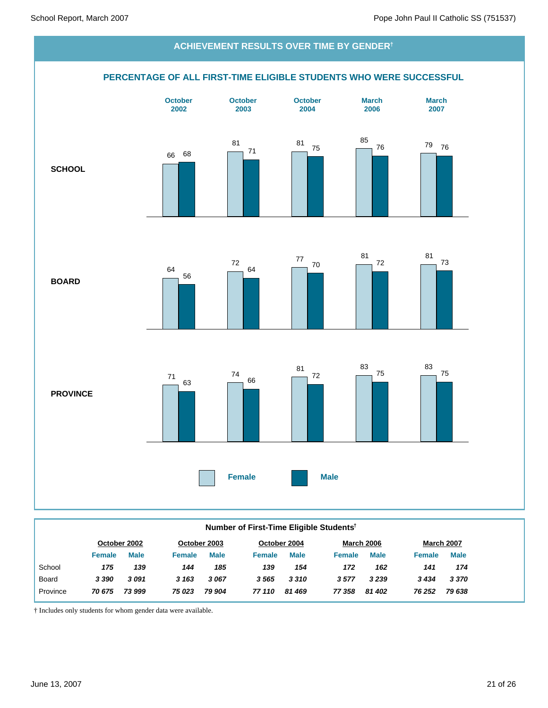

#### **Number of First-Time Eligible Students†**

|               |             |              |             |              |             |               |             |                   | <b>March 2007</b> |
|---------------|-------------|--------------|-------------|--------------|-------------|---------------|-------------|-------------------|-------------------|
| <b>Female</b> | <b>Male</b> | Female       | <b>Male</b> | Female       | <b>Male</b> | <b>Female</b> | <b>Male</b> | <b>Female</b>     | <b>Male</b>       |
| 175           | 139         | 144          | 185         | 139          | 154         | 172           | 162         | 141               | 174               |
| 3 3 9 0       | 3091        | 3 1 6 3      | 3067        | 3565         | 3310        | 3577          | 3 2 3 9     | 3434              | 3 3 7 0           |
| 70 675        | 73 999      | 75 023       | 79 904      | 77 110       | 81 469      | 77 358        | 81 402      | 76 252            | 79 638            |
|               |             | October 2002 |             | October 2003 |             | October 2004  |             | <b>March 2006</b> |                   |

† Includes only students for whom gender data were available.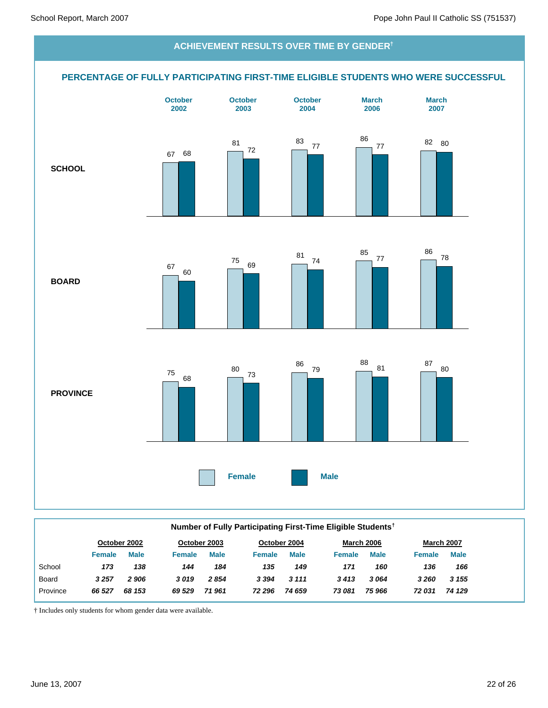

|              |               |              |               |              |               |              | Number of Fully Participating First-Time Eligible Students <sup>†</sup> |                   |               |                   |
|--------------|---------------|--------------|---------------|--------------|---------------|--------------|-------------------------------------------------------------------------|-------------------|---------------|-------------------|
|              |               | October 2002 |               | October 2003 |               | October 2004 |                                                                         | <b>March 2006</b> |               | <b>March 2007</b> |
|              | <b>Female</b> | <b>Male</b>  | <b>Female</b> | <b>Male</b>  | <b>Female</b> | <b>Male</b>  | <b>Female</b>                                                           | <b>Male</b>       | <b>Female</b> | <b>Male</b>       |
| School       | 173           | 138          | 144           | 184          | 135           | 149          | 171                                                                     | 160               | 136           | 166               |
| <b>Board</b> | 3 2 5 7       | 2906         | 3019          | 2854         | 3 3 9 4       | 3 1 1 1      | 3413                                                                    | 3064              | 3 2 6 0       | 3 1 5 5           |
| Province     | 66 527        | 68 153       | 69 529        | 71961        | 72 296        | 74 659       | 73 081                                                                  | 75 966            | 72 031        | 74 129            |

† Includes only students for whom gender data were available.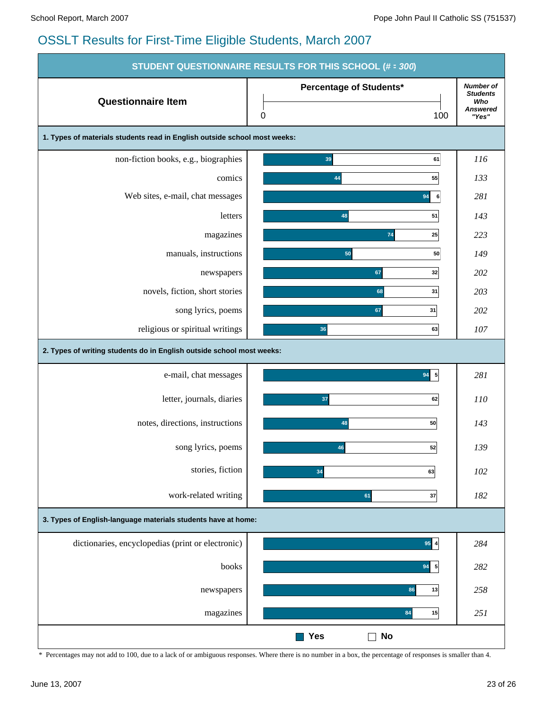|                                                                           | STUDENT QUESTIONNAIRE RESULTS FOR THIS SCHOOL (# = 300) |                                                                        |
|---------------------------------------------------------------------------|---------------------------------------------------------|------------------------------------------------------------------------|
| <b>Questionnaire Item</b>                                                 | Percentage of Students*<br>0<br>100                     | <b>Number of</b><br><b>Students</b><br>Who<br><b>Answered</b><br>"Yes" |
| 1. Types of materials students read in English outside school most weeks: |                                                         |                                                                        |
| non-fiction books, e.g., biographies                                      | 39<br>61                                                | 116                                                                    |
| comics                                                                    | 55<br>44                                                | 133                                                                    |
| Web sites, e-mail, chat messages                                          | 94<br>6                                                 | 281                                                                    |
| letters                                                                   | 51<br>48                                                | 143                                                                    |
| magazines                                                                 | 74<br>25                                                | 223                                                                    |
| manuals, instructions                                                     | 50<br>50                                                | 149                                                                    |
| newspapers                                                                | 67<br>32                                                | 202                                                                    |
| novels, fiction, short stories                                            | 68<br>31                                                | 203                                                                    |
| song lyrics, poems                                                        | 67<br>31                                                | 202                                                                    |
| religious or spiritual writings                                           | 36<br>63                                                | 107                                                                    |
| 2. Types of writing students do in English outside school most weeks:     |                                                         |                                                                        |
| e-mail, chat messages                                                     | $94$ 5                                                  | 281                                                                    |
| letter, journals, diaries                                                 | 37<br>62                                                | <i>110</i>                                                             |
| notes, directions, instructions                                           | 50<br>48                                                | 143                                                                    |
| song lyrics, poems                                                        | 52<br>46                                                | 139                                                                    |
| stories, fiction                                                          | 34<br>63                                                | 102                                                                    |
| work-related writing                                                      | 61<br>37                                                | 182                                                                    |
| 3. Types of English-language materials students have at home:             |                                                         |                                                                        |
| dictionaries, encyclopedias (print or electronic)                         | $95$ 4                                                  | 284                                                                    |
| books                                                                     | $94$ 5                                                  | 282                                                                    |
| newspapers                                                                | 86<br>13                                                | 258                                                                    |
| magazines                                                                 | 84<br>15                                                | 251                                                                    |
|                                                                           | <b>Yes</b><br><b>No</b>                                 |                                                                        |

\* Percentages may not add to 100, due to a lack of or ambiguous responses. Where there is no number in a box, the percentage of responses is smaller than 4.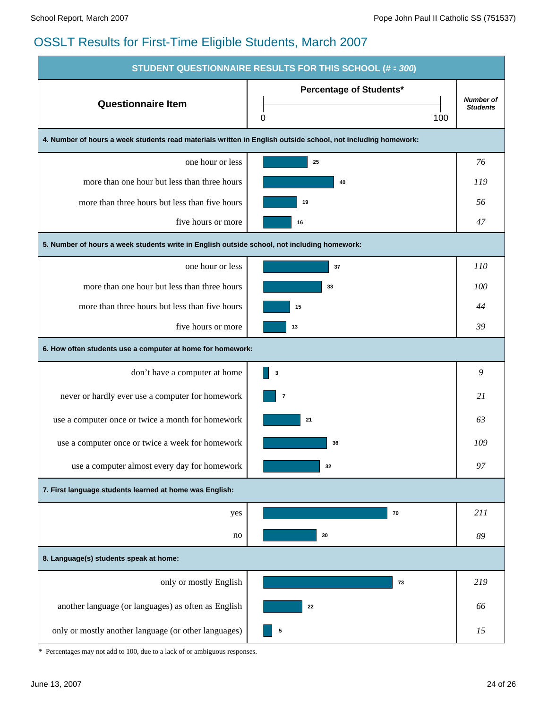| STUDENT QUESTIONNAIRE RESULTS FOR THIS SCHOOL (# = 300)                                                      |                                            |                                     |  |  |  |
|--------------------------------------------------------------------------------------------------------------|--------------------------------------------|-------------------------------------|--|--|--|
| <b>Questionnaire Item</b>                                                                                    | <b>Percentage of Students*</b><br>0<br>100 | <b>Number of</b><br><b>Students</b> |  |  |  |
| 4. Number of hours a week students read materials written in English outside school, not including homework: |                                            |                                     |  |  |  |
| one hour or less                                                                                             | 25                                         | 76                                  |  |  |  |
| more than one hour but less than three hours                                                                 | 40                                         | 119                                 |  |  |  |
| more than three hours but less than five hours                                                               | 19                                         | 56                                  |  |  |  |
| five hours or more                                                                                           | 16                                         | 47                                  |  |  |  |
| 5. Number of hours a week students write in English outside school, not including homework:                  |                                            |                                     |  |  |  |
| one hour or less                                                                                             | 37                                         | 110                                 |  |  |  |
| more than one hour but less than three hours                                                                 | 33                                         | 100                                 |  |  |  |
| more than three hours but less than five hours                                                               | 15                                         | 44                                  |  |  |  |
| five hours or more                                                                                           | 13                                         | 39                                  |  |  |  |
| 6. How often students use a computer at home for homework:                                                   |                                            |                                     |  |  |  |
| don't have a computer at home                                                                                | 3                                          | 9                                   |  |  |  |
| never or hardly ever use a computer for homework                                                             | $\bf 7$                                    | 21                                  |  |  |  |
| use a computer once or twice a month for homework                                                            | 21                                         | 63                                  |  |  |  |
| use a computer once or twice a week for homework                                                             | 36                                         | 109                                 |  |  |  |
| use a computer almost every day for homework                                                                 | 32                                         | 97                                  |  |  |  |
| 7. First language students learned at home was English:                                                      |                                            |                                     |  |  |  |
| yes                                                                                                          | 70                                         | 211                                 |  |  |  |
| no                                                                                                           | 30                                         | 89                                  |  |  |  |
| 8. Language(s) students speak at home:                                                                       |                                            |                                     |  |  |  |
| only or mostly English                                                                                       | 73                                         | 219                                 |  |  |  |
| another language (or languages) as often as English                                                          | 22                                         | 66                                  |  |  |  |
| only or mostly another language (or other languages)                                                         | 5                                          | 15                                  |  |  |  |

\* Percentages may not add to 100, due to a lack of or ambiguous responses.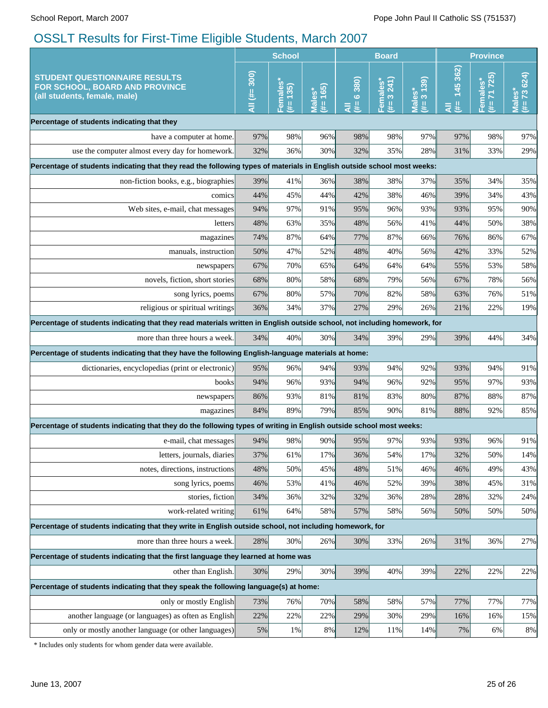| <b>School</b>                                                                                                           |                                                                                                                           | <b>Board</b>         |                            |                 | <b>Province</b>                   |                      |                    |                         |                                        |
|-------------------------------------------------------------------------------------------------------------------------|---------------------------------------------------------------------------------------------------------------------------|----------------------|----------------------------|-----------------|-----------------------------------|----------------------|--------------------|-------------------------|----------------------------------------|
| <b>STUDENT QUESTIONNAIRE RESULTS</b><br>FOR SCHOOL, BOARD AND PROVINCE<br>(all students, female, male)                  | $\overline{AB}$ (#= 300)                                                                                                  | Females*<br>(#= 135) | 165<br><b>Males*</b><br>₩. | 6380)<br>#<br>₹ | 3241<br>Females <sup>®</sup><br>斐 | Males*<br>(#= 3 139) | 145 362)<br>里<br>₹ | 71725)<br>emales*<br>#E | $# = 73624$<br><b>es</b><br><u>JeM</u> |
| Percentage of students indicating that they                                                                             |                                                                                                                           |                      |                            |                 |                                   |                      |                    |                         |                                        |
| have a computer at home.                                                                                                | 97%                                                                                                                       | 98%                  | 96%                        | 98%             | 98%                               | 97%                  | 97%                | 98%                     | 97%                                    |
| use the computer almost every day for homework.                                                                         | 32%                                                                                                                       | 36%                  | 30%                        | 32%             | 35%                               | 28%                  | 31%                | 33%                     | 29%                                    |
| Percentage of students indicating that they read the following types of materials in English outside school most weeks: |                                                                                                                           |                      |                            |                 |                                   |                      |                    |                         |                                        |
| non-fiction books, e.g., biographies                                                                                    | 39%                                                                                                                       | 41%                  | 36%                        | 38%             | 38%                               | 37%                  | 35%                | 34%                     | 35%                                    |
| comics                                                                                                                  | 44%                                                                                                                       | 45%                  | 44%                        | 42%             | 38%                               | 46%                  | 39%                | 34%                     | 43%                                    |
| Web sites, e-mail, chat messages                                                                                        | 94%                                                                                                                       | 97%                  | 91%                        | 95%             | 96%                               | 93%                  | 93%                | 95%                     | 90%                                    |
| letters                                                                                                                 | 48%                                                                                                                       | 63%                  | 35%                        | 48%             | 56%                               | 41%                  | 44%                | 50%                     | 38%                                    |
| magazines                                                                                                               | 74%                                                                                                                       | 87%                  | 64%                        | 77%             | 87%                               | 66%                  | 76%                | 86%                     | 67%                                    |
| manuals, instruction                                                                                                    | 50%                                                                                                                       | 47%                  | 52%                        | 48%             | 40%                               | 56%                  | 42%                | 33%                     | 52%                                    |
| newspapers                                                                                                              | 67%                                                                                                                       | 70%                  | 65%                        | 64%             | 64%                               | 64%                  | 55%                | 53%                     | 58%                                    |
| novels, fiction, short stories                                                                                          | 68%                                                                                                                       | 80%                  | 58%                        | 68%             | 79%                               | 56%                  | 67%                | 78%                     | 56%                                    |
| song lyrics, poems                                                                                                      | 67%                                                                                                                       | 80%                  | 57%                        | 70%             | 82%                               | 58%                  | 63%                | 76%                     | 51%                                    |
| religious or spiritual writings                                                                                         | 36%                                                                                                                       | 34%                  | 37%                        | 27%             | 29%                               | 26%                  | 21%                | 22%                     | 19%                                    |
|                                                                                                                         | Percentage of students indicating that they read materials written in English outside school, not including homework, for |                      |                            |                 |                                   |                      |                    |                         |                                        |
| more than three hours a week.                                                                                           | 34%                                                                                                                       | 40%                  | 30%                        | 34%             | 39%                               | 29%                  | 39%                | 44%                     | 34%                                    |
| Percentage of students indicating that they have the following English-language materials at home:                      |                                                                                                                           |                      |                            |                 |                                   |                      |                    |                         |                                        |
| dictionaries, encyclopedias (print or electronic)                                                                       | 95%                                                                                                                       | 96%                  | 94%                        | 93%             | 94%                               | 92%                  | 93%                | 94%                     | 91%                                    |
| books                                                                                                                   | 94%                                                                                                                       | 96%                  | 93%                        | 94%             | 96%                               | 92%                  | 95%                | 97%                     | 93%                                    |
| newspapers                                                                                                              | 86%                                                                                                                       | 93%                  | 81%                        | 81%             | 83%                               | 80%                  | 87%                | 88%                     | 87%                                    |
| magazines                                                                                                               | 84%                                                                                                                       | 89%                  | 79%                        | 85%             | 90%                               | 81%                  | 88%                | 92%                     | 85%                                    |
|                                                                                                                         | Percentage of students indicating that they do the following types of writing in English outside school most weeks:       |                      |                            |                 |                                   |                      |                    |                         |                                        |
| e-mail, chat messages                                                                                                   | 94%                                                                                                                       | 98%                  | 90%                        | 95%             | 97%                               | 93%                  | 93%                | 96%                     | 91%                                    |
| letters, journals, diaries                                                                                              | 37%                                                                                                                       | 61%                  | 17%                        | 36%             | 54%                               | 17%                  | 32%                | 50%                     | 14%                                    |
| notes, directions, instructions                                                                                         | 48%                                                                                                                       | 50%                  | 45%                        | 48%             | 51%                               | 46%                  | 46%                | 49%                     | 43%                                    |
| song lyrics, poems                                                                                                      | 46%                                                                                                                       | 53%                  | 41%                        | 46%             | 52%                               | 39%                  | 38%                | 45%                     | 31%                                    |
| stories, fiction                                                                                                        | 34%                                                                                                                       | 36%                  | 32%                        | 32%             | 36%                               | 28%                  | 28%                | 32%                     | 24%                                    |
| work-related writing                                                                                                    | 61%                                                                                                                       | 64%                  | 58%                        | 57%             | 58%                               | 56%                  | 50%                | 50%                     | 50%                                    |
| Percentage of students indicating that they write in English outside school, not including homework, for                |                                                                                                                           |                      |                            |                 |                                   |                      |                    |                         |                                        |
| more than three hours a week.                                                                                           | 28%                                                                                                                       | 30%                  | 26%                        | 30%             | 33%                               | 26%                  | 31%                | 36%                     | 27%                                    |
| Percentage of students indicating that the first language they learned at home was                                      |                                                                                                                           |                      |                            |                 |                                   |                      |                    |                         |                                        |
| other than English.                                                                                                     | 30%                                                                                                                       | 29%                  | 30%                        | 39%             | 40%                               | 39%                  | 22%                | 22%                     | 22%                                    |
| Percentage of students indicating that they speak the following language(s) at home:                                    |                                                                                                                           |                      |                            |                 |                                   |                      |                    |                         |                                        |
| only or mostly English                                                                                                  | 73%                                                                                                                       | 76%                  | 70%                        | 58%             | 58%                               | 57%                  | 77%                | 77%                     | 77%                                    |
| another language (or languages) as often as English                                                                     | 22%                                                                                                                       | 22%                  | 22%                        | 29%             | 30%                               | 29%                  | 16%                | 16%                     | 15%                                    |
| only or mostly another language (or other languages)                                                                    | 5%                                                                                                                        | 1%                   | 8%                         | 12%             | 11%                               | 14%                  | 7%                 | 6%                      | 8%                                     |
|                                                                                                                         |                                                                                                                           |                      |                            |                 |                                   |                      |                    |                         |                                        |

\* Includes only students for whom gender data were available.